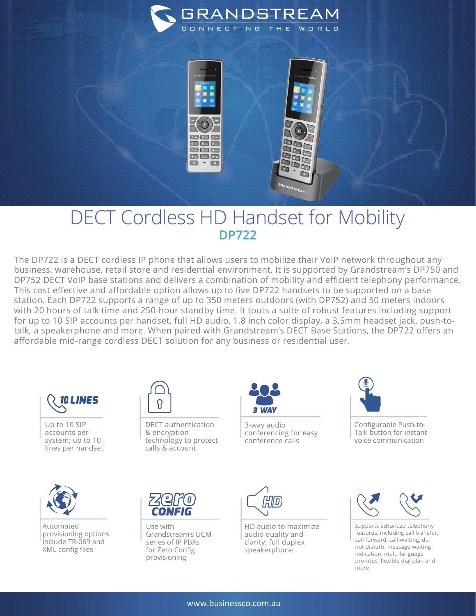



## DECT Cordless HD Handset for Mobility **DP722**

The DP722 is a DECT cordless IP phone that allows users to mobilize their VoIP network throughout any business, warehouse, retail store and residential environment. It is supported by Grandstream's DP750 and DP752 DECT VoIP base stations and delivers a combination of mobility and efficient telephony performance. This cost effective and affordable option allows up to five DP722 handsets to be supported on a base station. Each DP722 supports a range of up to 350 meters outdoors (with DP752) and 50 meters indoors with 20 hours of talk time and 250-hour standby time. It touts a suite of robust features including support for up to 10 SIP accounts per handset, full HD audio, 1.8 inch color display, a 3.5mm headset jack, push-totalk, a speakerphone and more. When paired with Grandstream's DECT Base Stations, the DP722 offers an affordable mid-range cordless DECT solution for any business or residential user.



Up to 10 SIP accounts per system; up to 10 lines per handset



DECT authentication & encryption technology to protect calls & account

3-way audio conferencing for easy conference calls



Configurable Push-to-Talk button for instant voice communication



Automated provisioning options include TR-069 and XML config files



Use with Grandstream's UCM series of IP PBXs for Zero Config provisioning



HD audio to maximize audio quality and clarity; full duplex speakerphone



Supports advanced telephony features, including call transfer, call forward, call-waiting, do not disturb, message waiting indication, multi-language promtps, flexible dial plan and more